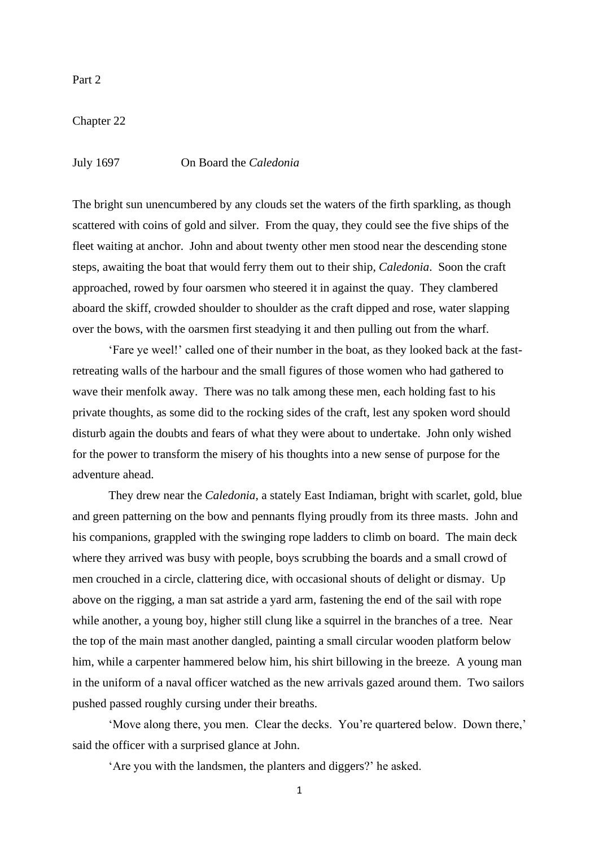Part 2

Chapter 22

July 1697 On Board the *Caledonia*

The bright sun unencumbered by any clouds set the waters of the firth sparkling, as though scattered with coins of gold and silver. From the quay, they could see the five ships of the fleet waiting at anchor. John and about twenty other men stood near the descending stone steps, awaiting the boat that would ferry them out to their ship, *Caledonia*. Soon the craft approached, rowed by four oarsmen who steered it in against the quay. They clambered aboard the skiff, crowded shoulder to shoulder as the craft dipped and rose, water slapping over the bows, with the oarsmen first steadying it and then pulling out from the wharf.

'Fare ye weel!' called one of their number in the boat, as they looked back at the fastretreating walls of the harbour and the small figures of those women who had gathered to wave their menfolk away. There was no talk among these men, each holding fast to his private thoughts, as some did to the rocking sides of the craft, lest any spoken word should disturb again the doubts and fears of what they were about to undertake. John only wished for the power to transform the misery of his thoughts into a new sense of purpose for the adventure ahead.

They drew near the *Caledonia*, a stately East Indiaman, bright with scarlet, gold, blue and green patterning on the bow and pennants flying proudly from its three masts. John and his companions, grappled with the swinging rope ladders to climb on board. The main deck where they arrived was busy with people, boys scrubbing the boards and a small crowd of men crouched in a circle, clattering dice, with occasional shouts of delight or dismay. Up above on the rigging, a man sat astride a yard arm, fastening the end of the sail with rope while another, a young boy, higher still clung like a squirrel in the branches of a tree. Near the top of the main mast another dangled, painting a small circular wooden platform below him, while a carpenter hammered below him, his shirt billowing in the breeze. A young man in the uniform of a naval officer watched as the new arrivals gazed around them. Two sailors pushed passed roughly cursing under their breaths.

'Move along there, you men. Clear the decks. You're quartered below. Down there,' said the officer with a surprised glance at John.

'Are you with the landsmen, the planters and diggers?' he asked.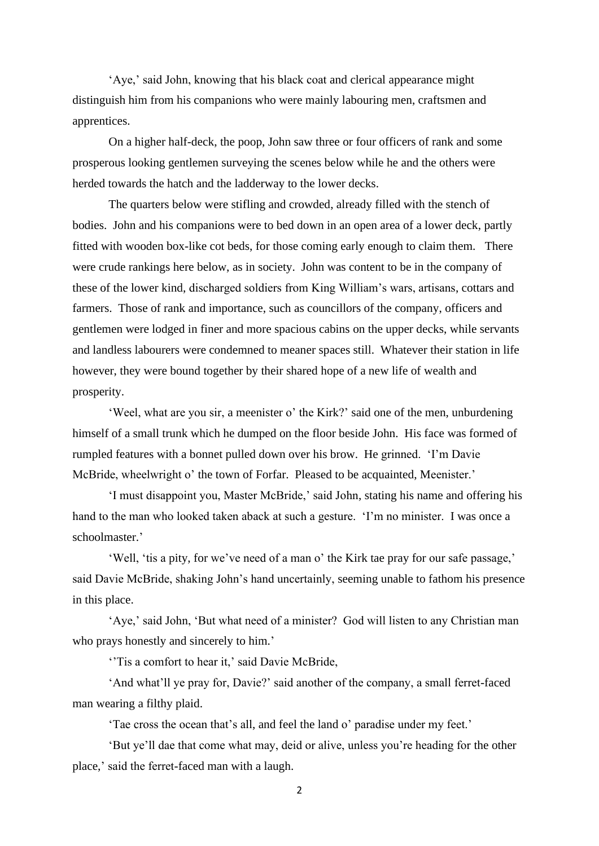'Aye,' said John, knowing that his black coat and clerical appearance might distinguish him from his companions who were mainly labouring men, craftsmen and apprentices.

On a higher half-deck, the poop, John saw three or four officers of rank and some prosperous looking gentlemen surveying the scenes below while he and the others were herded towards the hatch and the ladderway to the lower decks.

The quarters below were stifling and crowded, already filled with the stench of bodies. John and his companions were to bed down in an open area of a lower deck, partly fitted with wooden box-like cot beds, for those coming early enough to claim them. There were crude rankings here below, as in society. John was content to be in the company of these of the lower kind, discharged soldiers from King William's wars, artisans, cottars and farmers. Those of rank and importance, such as councillors of the company, officers and gentlemen were lodged in finer and more spacious cabins on the upper decks, while servants and landless labourers were condemned to meaner spaces still. Whatever their station in life however, they were bound together by their shared hope of a new life of wealth and prosperity.

'Weel, what are you sir, a meenister o' the Kirk?' said one of the men, unburdening himself of a small trunk which he dumped on the floor beside John. His face was formed of rumpled features with a bonnet pulled down over his brow. He grinned. 'I'm Davie McBride, wheelwright o' the town of Forfar. Pleased to be acquainted, Meenister.'

'I must disappoint you, Master McBride,' said John, stating his name and offering his hand to the man who looked taken aback at such a gesture. 'I'm no minister. I was once a schoolmaster.'

'Well, 'tis a pity, for we've need of a man o' the Kirk tae pray for our safe passage,' said Davie McBride, shaking John's hand uncertainly, seeming unable to fathom his presence in this place.

'Aye,' said John, 'But what need of a minister? God will listen to any Christian man who prays honestly and sincerely to him.'

''Tis a comfort to hear it,' said Davie McBride,

'And what'll ye pray for, Davie?' said another of the company, a small ferret-faced man wearing a filthy plaid.

'Tae cross the ocean that's all, and feel the land o' paradise under my feet.'

'But ye'll dae that come what may, deid or alive, unless you're heading for the other place,' said the ferret-faced man with a laugh.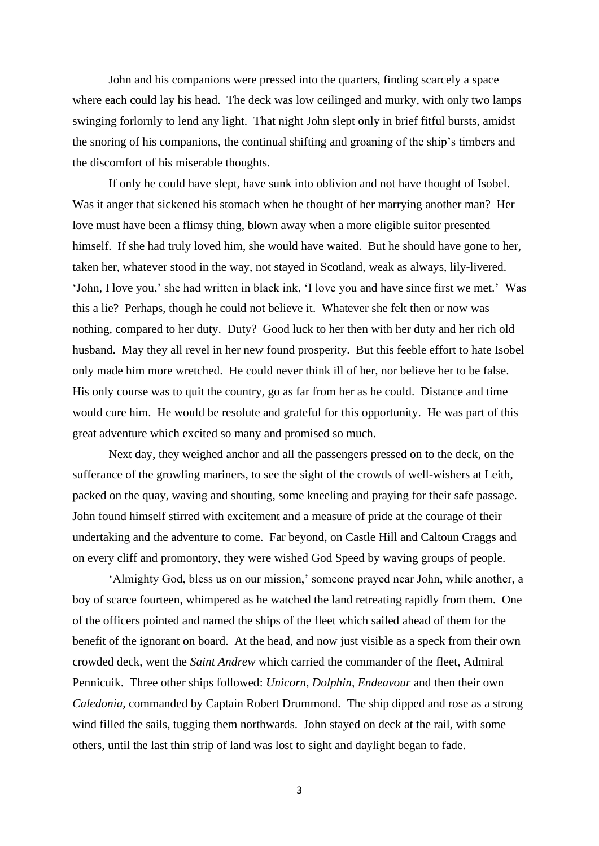John and his companions were pressed into the quarters, finding scarcely a space where each could lay his head. The deck was low ceilinged and murky, with only two lamps swinging forlornly to lend any light. That night John slept only in brief fitful bursts, amidst the snoring of his companions, the continual shifting and groaning of the ship's timbers and the discomfort of his miserable thoughts.

If only he could have slept, have sunk into oblivion and not have thought of Isobel. Was it anger that sickened his stomach when he thought of her marrying another man? Her love must have been a flimsy thing, blown away when a more eligible suitor presented himself. If she had truly loved him, she would have waited. But he should have gone to her, taken her, whatever stood in the way, not stayed in Scotland, weak as always, lily-livered. 'John, I love you,' she had written in black ink, 'I love you and have since first we met.' Was this a lie? Perhaps, though he could not believe it. Whatever she felt then or now was nothing, compared to her duty. Duty? Good luck to her then with her duty and her rich old husband. May they all revel in her new found prosperity. But this feeble effort to hate Isobel only made him more wretched. He could never think ill of her, nor believe her to be false. His only course was to quit the country, go as far from her as he could. Distance and time would cure him. He would be resolute and grateful for this opportunity. He was part of this great adventure which excited so many and promised so much.

Next day, they weighed anchor and all the passengers pressed on to the deck, on the sufferance of the growling mariners, to see the sight of the crowds of well-wishers at Leith, packed on the quay, waving and shouting, some kneeling and praying for their safe passage. John found himself stirred with excitement and a measure of pride at the courage of their undertaking and the adventure to come. Far beyond, on Castle Hill and Caltoun Craggs and on every cliff and promontory, they were wished God Speed by waving groups of people.

'Almighty God, bless us on our mission,' someone prayed near John, while another, a boy of scarce fourteen, whimpered as he watched the land retreating rapidly from them. One of the officers pointed and named the ships of the fleet which sailed ahead of them for the benefit of the ignorant on board. At the head, and now just visible as a speck from their own crowded deck, went the *Saint Andrew* which carried the commander of the fleet, Admiral Pennicuik. Three other ships followed: *Unicorn, Dolphin, Endeavour* and then their own *Caledonia,* commanded by Captain Robert Drummond*.* The ship dipped and rose as a strong wind filled the sails, tugging them northwards. John stayed on deck at the rail, with some others, until the last thin strip of land was lost to sight and daylight began to fade.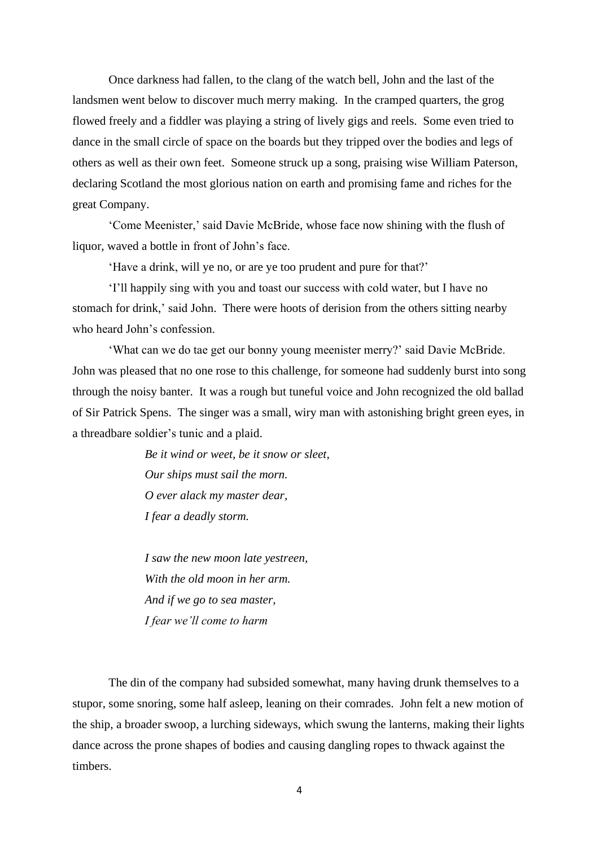Once darkness had fallen, to the clang of the watch bell, John and the last of the landsmen went below to discover much merry making. In the cramped quarters, the grog flowed freely and a fiddler was playing a string of lively gigs and reels. Some even tried to dance in the small circle of space on the boards but they tripped over the bodies and legs of others as well as their own feet. Someone struck up a song, praising wise William Paterson, declaring Scotland the most glorious nation on earth and promising fame and riches for the great Company.

'Come Meenister,' said Davie McBride, whose face now shining with the flush of liquor, waved a bottle in front of John's face.

'Have a drink, will ye no, or are ye too prudent and pure for that?'

'I'll happily sing with you and toast our success with cold water, but I have no stomach for drink,' said John. There were hoots of derision from the others sitting nearby who heard John's confession.

'What can we do tae get our bonny young meenister merry?' said Davie McBride. John was pleased that no one rose to this challenge, for someone had suddenly burst into song through the noisy banter. It was a rough but tuneful voice and John recognized the old ballad of Sir Patrick Spens. The singer was a small, wiry man with astonishing bright green eyes, in a threadbare soldier's tunic and a plaid.

> *Be it wind or weet, be it snow or sleet, Our ships must sail the morn. O ever alack my master dear, I fear a deadly storm.*

*I saw the new moon late yestreen, With the old moon in her arm. And if we go to sea master, I fear we'll come to harm*

The din of the company had subsided somewhat, many having drunk themselves to a stupor, some snoring, some half asleep, leaning on their comrades. John felt a new motion of the ship, a broader swoop, a lurching sideways, which swung the lanterns, making their lights dance across the prone shapes of bodies and causing dangling ropes to thwack against the timbers.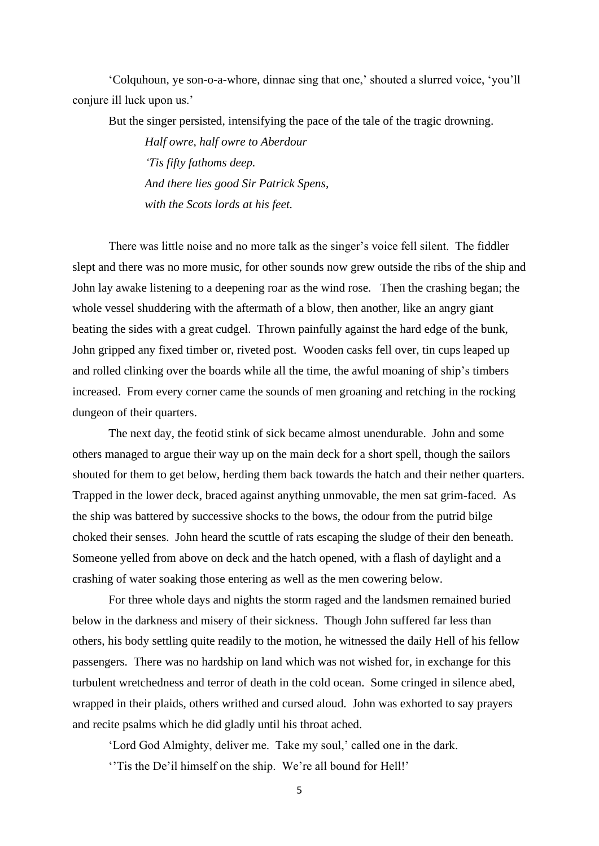'Colquhoun, ye son-o-a-whore, dinnae sing that one,' shouted a slurred voice, 'you'll conjure ill luck upon us.'

But the singer persisted, intensifying the pace of the tale of the tragic drowning.

*Half owre, half owre to Aberdour 'Tis fifty fathoms deep. And there lies good Sir Patrick Spens, with the Scots lords at his feet.*

There was little noise and no more talk as the singer's voice fell silent. The fiddler slept and there was no more music, for other sounds now grew outside the ribs of the ship and John lay awake listening to a deepening roar as the wind rose. Then the crashing began; the whole vessel shuddering with the aftermath of a blow, then another, like an angry giant beating the sides with a great cudgel. Thrown painfully against the hard edge of the bunk, John gripped any fixed timber or, riveted post. Wooden casks fell over, tin cups leaped up and rolled clinking over the boards while all the time, the awful moaning of ship's timbers increased. From every corner came the sounds of men groaning and retching in the rocking dungeon of their quarters.

The next day, the feotid stink of sick became almost unendurable. John and some others managed to argue their way up on the main deck for a short spell, though the sailors shouted for them to get below, herding them back towards the hatch and their nether quarters. Trapped in the lower deck, braced against anything unmovable, the men sat grim-faced. As the ship was battered by successive shocks to the bows, the odour from the putrid bilge choked their senses. John heard the scuttle of rats escaping the sludge of their den beneath. Someone yelled from above on deck and the hatch opened, with a flash of daylight and a crashing of water soaking those entering as well as the men cowering below.

For three whole days and nights the storm raged and the landsmen remained buried below in the darkness and misery of their sickness. Though John suffered far less than others, his body settling quite readily to the motion, he witnessed the daily Hell of his fellow passengers. There was no hardship on land which was not wished for, in exchange for this turbulent wretchedness and terror of death in the cold ocean. Some cringed in silence abed, wrapped in their plaids, others writhed and cursed aloud. John was exhorted to say prayers and recite psalms which he did gladly until his throat ached.

'Lord God Almighty, deliver me. Take my soul,' called one in the dark.

''Tis the De'il himself on the ship. We're all bound for Hell!'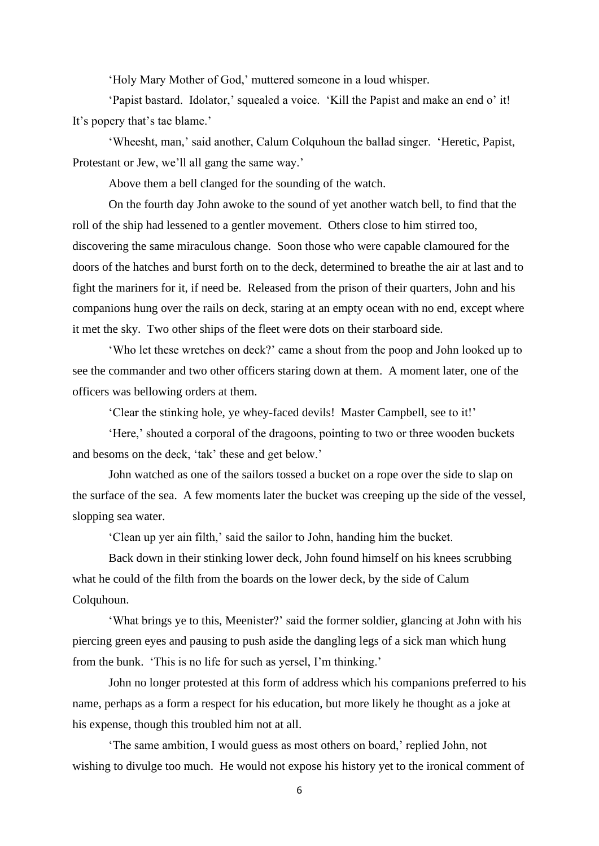'Holy Mary Mother of God,' muttered someone in a loud whisper.

'Papist bastard. Idolator,' squealed a voice. 'Kill the Papist and make an end o' it! It's popery that's tae blame.'

'Wheesht, man,' said another, Calum Colquhoun the ballad singer. 'Heretic, Papist, Protestant or Jew, we'll all gang the same way.'

Above them a bell clanged for the sounding of the watch.

On the fourth day John awoke to the sound of yet another watch bell, to find that the roll of the ship had lessened to a gentler movement. Others close to him stirred too, discovering the same miraculous change. Soon those who were capable clamoured for the doors of the hatches and burst forth on to the deck, determined to breathe the air at last and to fight the mariners for it, if need be. Released from the prison of their quarters, John and his companions hung over the rails on deck, staring at an empty ocean with no end, except where it met the sky. Two other ships of the fleet were dots on their starboard side.

'Who let these wretches on deck?' came a shout from the poop and John looked up to see the commander and two other officers staring down at them. A moment later, one of the officers was bellowing orders at them.

'Clear the stinking hole, ye whey-faced devils! Master Campbell, see to it!'

'Here,' shouted a corporal of the dragoons, pointing to two or three wooden buckets and besoms on the deck, 'tak' these and get below.'

John watched as one of the sailors tossed a bucket on a rope over the side to slap on the surface of the sea. A few moments later the bucket was creeping up the side of the vessel, slopping sea water.

'Clean up yer ain filth,' said the sailor to John, handing him the bucket.

Back down in their stinking lower deck, John found himself on his knees scrubbing what he could of the filth from the boards on the lower deck, by the side of Calum Colquhoun.

'What brings ye to this, Meenister?' said the former soldier, glancing at John with his piercing green eyes and pausing to push aside the dangling legs of a sick man which hung from the bunk. 'This is no life for such as yersel, I'm thinking.'

John no longer protested at this form of address which his companions preferred to his name, perhaps as a form a respect for his education, but more likely he thought as a joke at his expense, though this troubled him not at all.

'The same ambition, I would guess as most others on board,' replied John, not wishing to divulge too much. He would not expose his history yet to the ironical comment of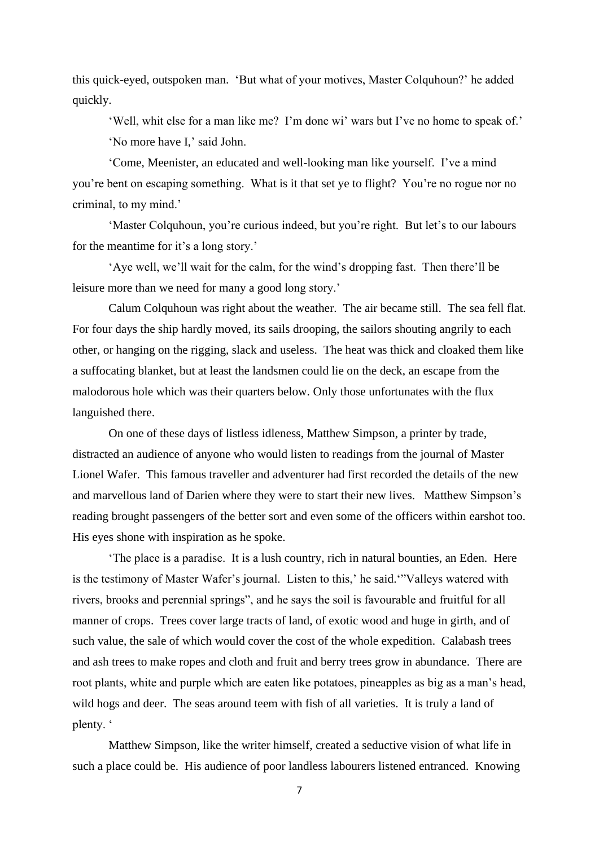this quick-eyed, outspoken man. 'But what of your motives, Master Colquhoun?' he added quickly.

'Well, whit else for a man like me? I'm done wi' wars but I've no home to speak of.' 'No more have I,' said John.

'Come, Meenister, an educated and well-looking man like yourself. I've a mind you're bent on escaping something. What is it that set ye to flight? You're no rogue nor no criminal, to my mind.'

'Master Colquhoun, you're curious indeed, but you're right. But let's to our labours for the meantime for it's a long story.'

'Aye well, we'll wait for the calm, for the wind's dropping fast. Then there'll be leisure more than we need for many a good long story.'

Calum Colquhoun was right about the weather. The air became still. The sea fell flat. For four days the ship hardly moved, its sails drooping, the sailors shouting angrily to each other, or hanging on the rigging, slack and useless. The heat was thick and cloaked them like a suffocating blanket, but at least the landsmen could lie on the deck, an escape from the malodorous hole which was their quarters below. Only those unfortunates with the flux languished there.

On one of these days of listless idleness, Matthew Simpson, a printer by trade, distracted an audience of anyone who would listen to readings from the journal of Master Lionel Wafer. This famous traveller and adventurer had first recorded the details of the new and marvellous land of Darien where they were to start their new lives. Matthew Simpson's reading brought passengers of the better sort and even some of the officers within earshot too. His eyes shone with inspiration as he spoke.

'The place is a paradise. It is a lush country, rich in natural bounties, an Eden. Here is the testimony of Master Wafer's journal. Listen to this,' he said.'"Valleys watered with rivers, brooks and perennial springs", and he says the soil is favourable and fruitful for all manner of crops. Trees cover large tracts of land, of exotic wood and huge in girth, and of such value, the sale of which would cover the cost of the whole expedition. Calabash trees and ash trees to make ropes and cloth and fruit and berry trees grow in abundance. There are root plants, white and purple which are eaten like potatoes, pineapples as big as a man's head, wild hogs and deer. The seas around teem with fish of all varieties. It is truly a land of plenty. '

Matthew Simpson, like the writer himself, created a seductive vision of what life in such a place could be. His audience of poor landless labourers listened entranced. Knowing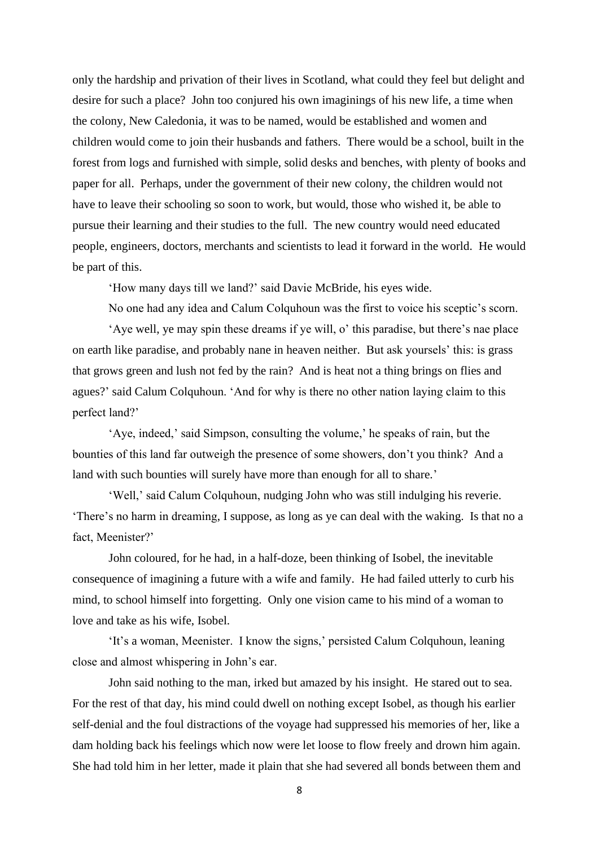only the hardship and privation of their lives in Scotland, what could they feel but delight and desire for such a place? John too conjured his own imaginings of his new life, a time when the colony, New Caledonia, it was to be named, would be established and women and children would come to join their husbands and fathers. There would be a school, built in the forest from logs and furnished with simple, solid desks and benches, with plenty of books and paper for all. Perhaps, under the government of their new colony, the children would not have to leave their schooling so soon to work, but would, those who wished it, be able to pursue their learning and their studies to the full. The new country would need educated people, engineers, doctors, merchants and scientists to lead it forward in the world. He would be part of this.

'How many days till we land?' said Davie McBride, his eyes wide.

No one had any idea and Calum Colquhoun was the first to voice his sceptic's scorn.

'Aye well, ye may spin these dreams if ye will, o' this paradise, but there's nae place on earth like paradise, and probably nane in heaven neither. But ask yoursels' this: is grass that grows green and lush not fed by the rain? And is heat not a thing brings on flies and agues?' said Calum Colquhoun. 'And for why is there no other nation laying claim to this perfect land?'

'Aye, indeed,' said Simpson, consulting the volume,' he speaks of rain, but the bounties of this land far outweigh the presence of some showers, don't you think? And a land with such bounties will surely have more than enough for all to share.'

'Well,' said Calum Colquhoun, nudging John who was still indulging his reverie. 'There's no harm in dreaming, I suppose, as long as ye can deal with the waking. Is that no a fact, Meenister?'

John coloured, for he had, in a half-doze, been thinking of Isobel, the inevitable consequence of imagining a future with a wife and family. He had failed utterly to curb his mind, to school himself into forgetting. Only one vision came to his mind of a woman to love and take as his wife, Isobel.

'It's a woman, Meenister. I know the signs,' persisted Calum Colquhoun, leaning close and almost whispering in John's ear.

John said nothing to the man, irked but amazed by his insight. He stared out to sea. For the rest of that day, his mind could dwell on nothing except Isobel, as though his earlier self-denial and the foul distractions of the voyage had suppressed his memories of her, like a dam holding back his feelings which now were let loose to flow freely and drown him again. She had told him in her letter, made it plain that she had severed all bonds between them and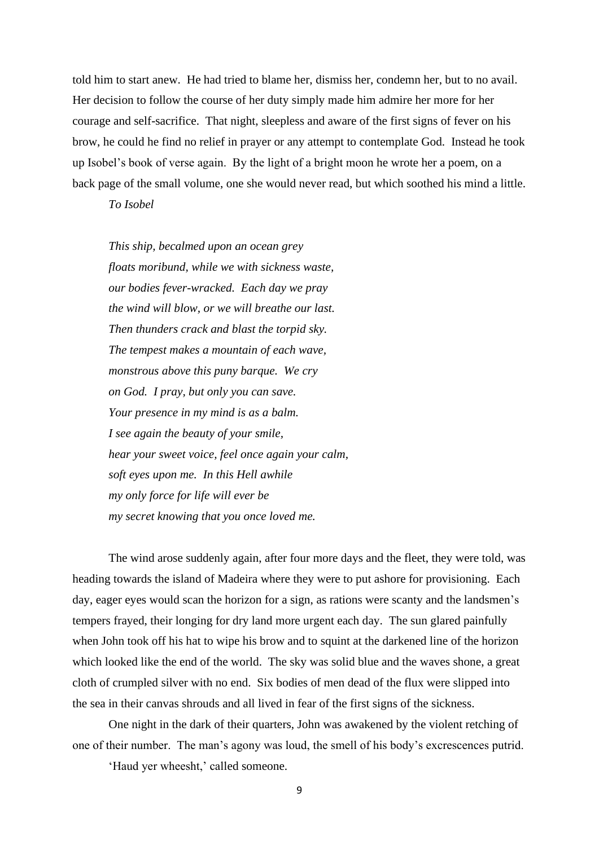told him to start anew. He had tried to blame her, dismiss her, condemn her, but to no avail. Her decision to follow the course of her duty simply made him admire her more for her courage and self-sacrifice. That night, sleepless and aware of the first signs of fever on his brow, he could he find no relief in prayer or any attempt to contemplate God. Instead he took up Isobel's book of verse again. By the light of a bright moon he wrote her a poem, on a back page of the small volume, one she would never read, but which soothed his mind a little.

*To Isobel*

*This ship, becalmed upon an ocean grey floats moribund, while we with sickness waste, our bodies fever-wracked. Each day we pray the wind will blow, or we will breathe our last. Then thunders crack and blast the torpid sky. The tempest makes a mountain of each wave, monstrous above this puny barque. We cry on God. I pray, but only you can save. Your presence in my mind is as a balm. I see again the beauty of your smile, hear your sweet voice, feel once again your calm, soft eyes upon me. In this Hell awhile my only force for life will ever be my secret knowing that you once loved me.*

The wind arose suddenly again, after four more days and the fleet, they were told, was heading towards the island of Madeira where they were to put ashore for provisioning. Each day, eager eyes would scan the horizon for a sign, as rations were scanty and the landsmen's tempers frayed, their longing for dry land more urgent each day. The sun glared painfully when John took off his hat to wipe his brow and to squint at the darkened line of the horizon which looked like the end of the world. The sky was solid blue and the waves shone, a great cloth of crumpled silver with no end. Six bodies of men dead of the flux were slipped into the sea in their canvas shrouds and all lived in fear of the first signs of the sickness.

One night in the dark of their quarters, John was awakened by the violent retching of one of their number. The man's agony was loud, the smell of his body's excrescences putrid.

'Haud yer wheesht,' called someone.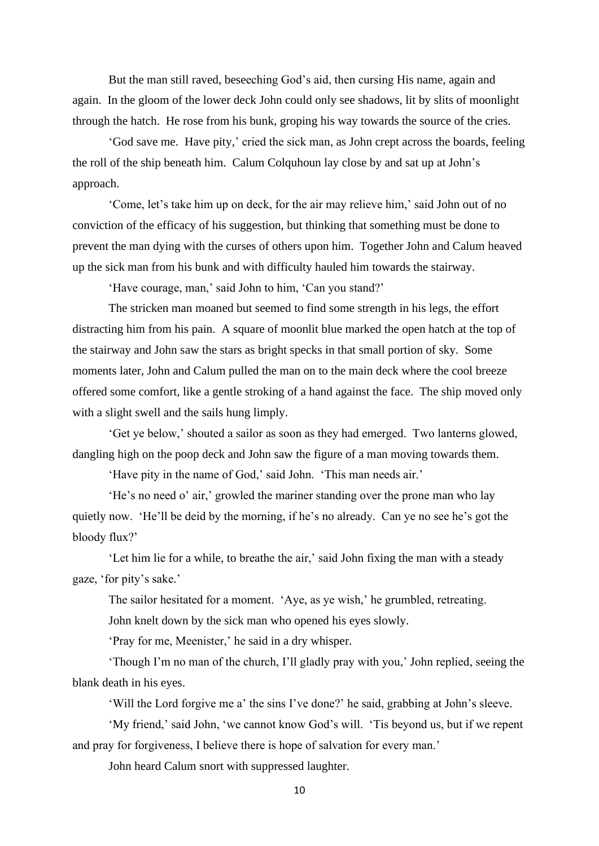But the man still raved, beseeching God's aid, then cursing His name, again and again. In the gloom of the lower deck John could only see shadows, lit by slits of moonlight through the hatch. He rose from his bunk, groping his way towards the source of the cries.

'God save me. Have pity,' cried the sick man, as John crept across the boards, feeling the roll of the ship beneath him. Calum Colquhoun lay close by and sat up at John's approach.

'Come, let's take him up on deck, for the air may relieve him,' said John out of no conviction of the efficacy of his suggestion, but thinking that something must be done to prevent the man dying with the curses of others upon him. Together John and Calum heaved up the sick man from his bunk and with difficulty hauled him towards the stairway.

'Have courage, man,' said John to him, 'Can you stand?'

The stricken man moaned but seemed to find some strength in his legs, the effort distracting him from his pain. A square of moonlit blue marked the open hatch at the top of the stairway and John saw the stars as bright specks in that small portion of sky. Some moments later, John and Calum pulled the man on to the main deck where the cool breeze offered some comfort, like a gentle stroking of a hand against the face. The ship moved only with a slight swell and the sails hung limply.

'Get ye below,' shouted a sailor as soon as they had emerged. Two lanterns glowed, dangling high on the poop deck and John saw the figure of a man moving towards them.

'Have pity in the name of God,' said John. 'This man needs air.'

'He's no need o' air,' growled the mariner standing over the prone man who lay quietly now. 'He'll be deid by the morning, if he's no already. Can ye no see he's got the bloody flux?'

'Let him lie for a while, to breathe the air,' said John fixing the man with a steady gaze, 'for pity's sake.'

The sailor hesitated for a moment. 'Aye, as ye wish,' he grumbled, retreating. John knelt down by the sick man who opened his eyes slowly.

'Pray for me, Meenister,' he said in a dry whisper.

'Though I'm no man of the church, I'll gladly pray with you,' John replied, seeing the blank death in his eyes.

'Will the Lord forgive me a' the sins I've done?' he said, grabbing at John's sleeve.

'My friend,' said John, 'we cannot know God's will. 'Tis beyond us, but if we repent and pray for forgiveness, I believe there is hope of salvation for every man.'

John heard Calum snort with suppressed laughter.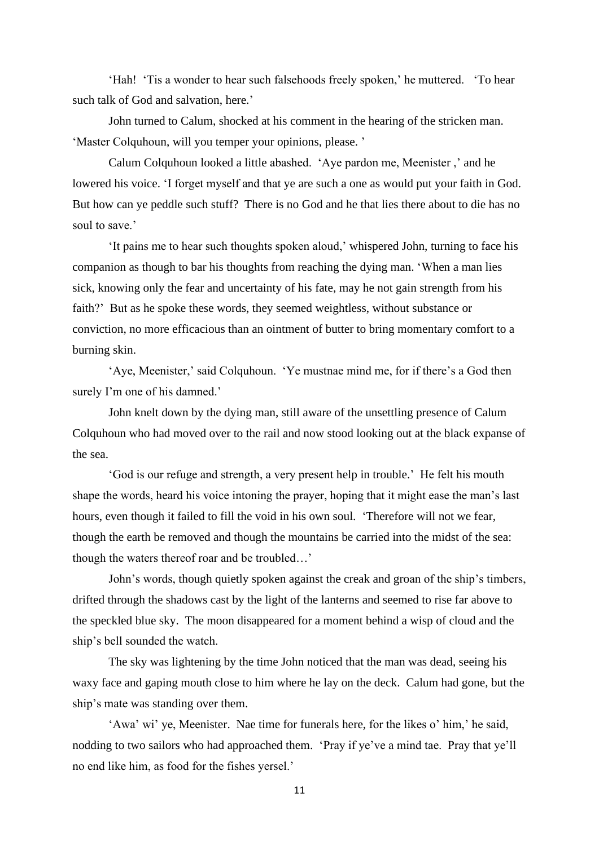'Hah! 'Tis a wonder to hear such falsehoods freely spoken,' he muttered. 'To hear such talk of God and salvation, here.'

John turned to Calum, shocked at his comment in the hearing of the stricken man. 'Master Colquhoun, will you temper your opinions, please. '

Calum Colquhoun looked a little abashed. 'Aye pardon me, Meenister ,' and he lowered his voice. 'I forget myself and that ye are such a one as would put your faith in God. But how can ye peddle such stuff? There is no God and he that lies there about to die has no soul to save.'

'It pains me to hear such thoughts spoken aloud,' whispered John, turning to face his companion as though to bar his thoughts from reaching the dying man. 'When a man lies sick, knowing only the fear and uncertainty of his fate, may he not gain strength from his faith?' But as he spoke these words, they seemed weightless, without substance or conviction, no more efficacious than an ointment of butter to bring momentary comfort to a burning skin.

'Aye, Meenister,' said Colquhoun. 'Ye mustnae mind me, for if there's a God then surely I'm one of his damned.'

John knelt down by the dying man, still aware of the unsettling presence of Calum Colquhoun who had moved over to the rail and now stood looking out at the black expanse of the sea.

'God is our refuge and strength, a very present help in trouble.' He felt his mouth shape the words, heard his voice intoning the prayer, hoping that it might ease the man's last hours, even though it failed to fill the void in his own soul. 'Therefore will not we fear, though the earth be removed and though the mountains be carried into the midst of the sea: though the waters thereof roar and be troubled…'

John's words, though quietly spoken against the creak and groan of the ship's timbers, drifted through the shadows cast by the light of the lanterns and seemed to rise far above to the speckled blue sky. The moon disappeared for a moment behind a wisp of cloud and the ship's bell sounded the watch.

The sky was lightening by the time John noticed that the man was dead, seeing his waxy face and gaping mouth close to him where he lay on the deck. Calum had gone, but the ship's mate was standing over them.

'Awa' wi' ye, Meenister. Nae time for funerals here, for the likes o' him,' he said, nodding to two sailors who had approached them. 'Pray if ye've a mind tae. Pray that ye'll no end like him, as food for the fishes yersel.'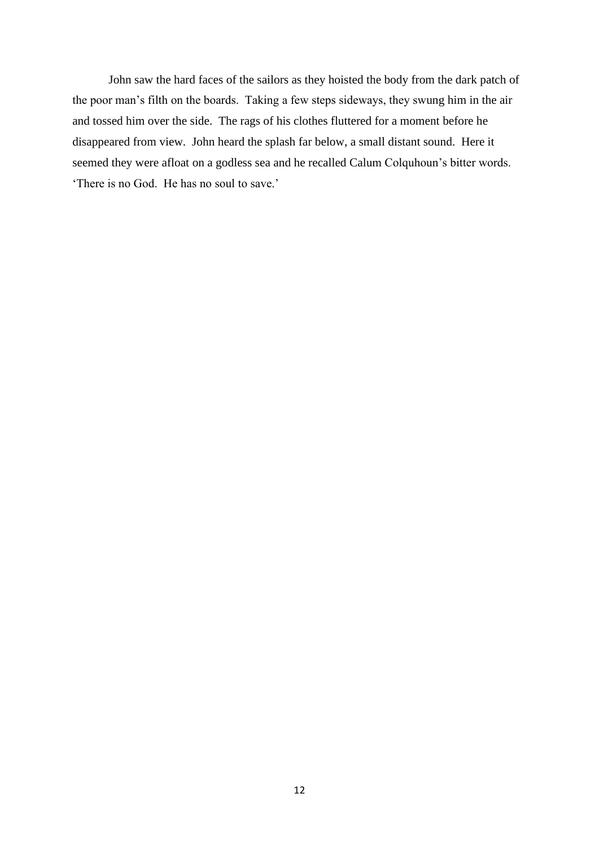John saw the hard faces of the sailors as they hoisted the body from the dark patch of the poor man's filth on the boards. Taking a few steps sideways, they swung him in the air and tossed him over the side. The rags of his clothes fluttered for a moment before he disappeared from view. John heard the splash far below, a small distant sound. Here it seemed they were afloat on a godless sea and he recalled Calum Colquhoun's bitter words. 'There is no God. He has no soul to save.'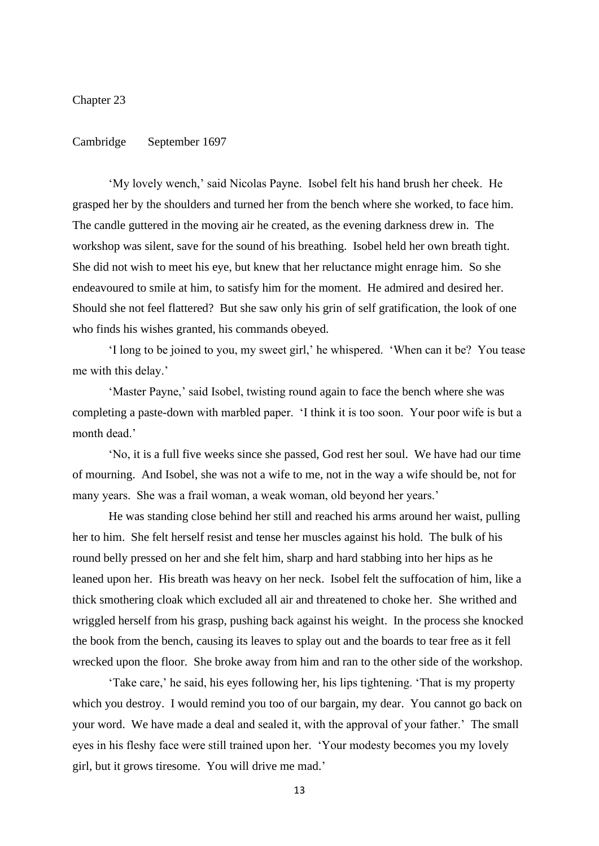Chapter 23

## Cambridge September 1697

'My lovely wench,' said Nicolas Payne. Isobel felt his hand brush her cheek. He grasped her by the shoulders and turned her from the bench where she worked, to face him. The candle guttered in the moving air he created, as the evening darkness drew in. The workshop was silent, save for the sound of his breathing. Isobel held her own breath tight. She did not wish to meet his eye, but knew that her reluctance might enrage him. So she endeavoured to smile at him, to satisfy him for the moment. He admired and desired her. Should she not feel flattered? But she saw only his grin of self gratification, the look of one who finds his wishes granted, his commands obeyed.

'I long to be joined to you, my sweet girl,' he whispered. 'When can it be? You tease me with this delay.'

'Master Payne,' said Isobel, twisting round again to face the bench where she was completing a paste-down with marbled paper. 'I think it is too soon. Your poor wife is but a month dead.'

'No, it is a full five weeks since she passed, God rest her soul. We have had our time of mourning. And Isobel, she was not a wife to me, not in the way a wife should be, not for many years. She was a frail woman, a weak woman, old beyond her years.'

He was standing close behind her still and reached his arms around her waist, pulling her to him. She felt herself resist and tense her muscles against his hold. The bulk of his round belly pressed on her and she felt him, sharp and hard stabbing into her hips as he leaned upon her. His breath was heavy on her neck. Isobel felt the suffocation of him, like a thick smothering cloak which excluded all air and threatened to choke her. She writhed and wriggled herself from his grasp, pushing back against his weight. In the process she knocked the book from the bench, causing its leaves to splay out and the boards to tear free as it fell wrecked upon the floor. She broke away from him and ran to the other side of the workshop.

'Take care,' he said, his eyes following her, his lips tightening. 'That is my property which you destroy. I would remind you too of our bargain, my dear. You cannot go back on your word. We have made a deal and sealed it, with the approval of your father.' The small eyes in his fleshy face were still trained upon her. 'Your modesty becomes you my lovely girl, but it grows tiresome. You will drive me mad.'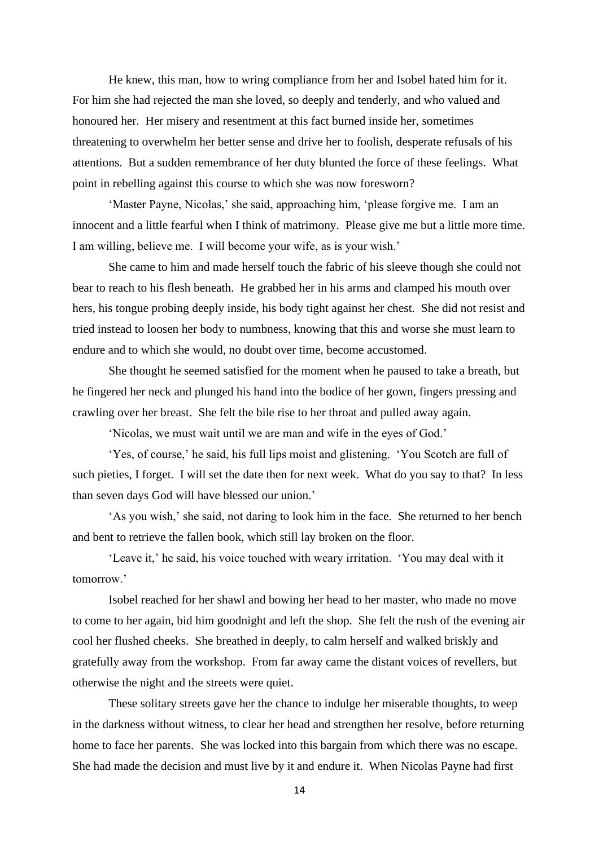He knew, this man, how to wring compliance from her and Isobel hated him for it. For him she had rejected the man she loved, so deeply and tenderly, and who valued and honoured her. Her misery and resentment at this fact burned inside her, sometimes threatening to overwhelm her better sense and drive her to foolish, desperate refusals of his attentions. But a sudden remembrance of her duty blunted the force of these feelings. What point in rebelling against this course to which she was now foresworn?

'Master Payne, Nicolas,' she said, approaching him, 'please forgive me. I am an innocent and a little fearful when I think of matrimony. Please give me but a little more time. I am willing, believe me. I will become your wife, as is your wish.'

She came to him and made herself touch the fabric of his sleeve though she could not bear to reach to his flesh beneath. He grabbed her in his arms and clamped his mouth over hers, his tongue probing deeply inside, his body tight against her chest. She did not resist and tried instead to loosen her body to numbness, knowing that this and worse she must learn to endure and to which she would, no doubt over time, become accustomed.

She thought he seemed satisfied for the moment when he paused to take a breath, but he fingered her neck and plunged his hand into the bodice of her gown, fingers pressing and crawling over her breast. She felt the bile rise to her throat and pulled away again.

'Nicolas, we must wait until we are man and wife in the eyes of God.'

'Yes, of course,' he said, his full lips moist and glistening. 'You Scotch are full of such pieties, I forget. I will set the date then for next week. What do you say to that? In less than seven days God will have blessed our union.'

'As you wish,' she said, not daring to look him in the face. She returned to her bench and bent to retrieve the fallen book, which still lay broken on the floor.

'Leave it,' he said, his voice touched with weary irritation. 'You may deal with it tomorrow.'

Isobel reached for her shawl and bowing her head to her master, who made no move to come to her again, bid him goodnight and left the shop. She felt the rush of the evening air cool her flushed cheeks. She breathed in deeply, to calm herself and walked briskly and gratefully away from the workshop. From far away came the distant voices of revellers, but otherwise the night and the streets were quiet.

These solitary streets gave her the chance to indulge her miserable thoughts, to weep in the darkness without witness, to clear her head and strengthen her resolve, before returning home to face her parents. She was locked into this bargain from which there was no escape. She had made the decision and must live by it and endure it. When Nicolas Payne had first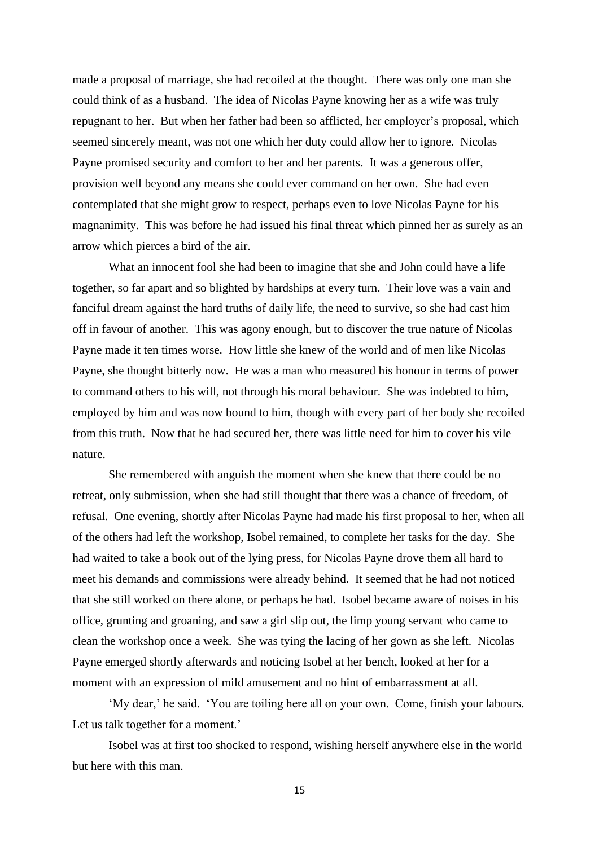made a proposal of marriage, she had recoiled at the thought. There was only one man she could think of as a husband. The idea of Nicolas Payne knowing her as a wife was truly repugnant to her. But when her father had been so afflicted, her employer's proposal, which seemed sincerely meant, was not one which her duty could allow her to ignore. Nicolas Payne promised security and comfort to her and her parents. It was a generous offer, provision well beyond any means she could ever command on her own. She had even contemplated that she might grow to respect, perhaps even to love Nicolas Payne for his magnanimity. This was before he had issued his final threat which pinned her as surely as an arrow which pierces a bird of the air.

What an innocent fool she had been to imagine that she and John could have a life together, so far apart and so blighted by hardships at every turn. Their love was a vain and fanciful dream against the hard truths of daily life, the need to survive, so she had cast him off in favour of another. This was agony enough, but to discover the true nature of Nicolas Payne made it ten times worse. How little she knew of the world and of men like Nicolas Payne, she thought bitterly now. He was a man who measured his honour in terms of power to command others to his will, not through his moral behaviour. She was indebted to him, employed by him and was now bound to him, though with every part of her body she recoiled from this truth. Now that he had secured her, there was little need for him to cover his vile nature.

She remembered with anguish the moment when she knew that there could be no retreat, only submission, when she had still thought that there was a chance of freedom, of refusal. One evening, shortly after Nicolas Payne had made his first proposal to her, when all of the others had left the workshop, Isobel remained, to complete her tasks for the day. She had waited to take a book out of the lying press, for Nicolas Payne drove them all hard to meet his demands and commissions were already behind. It seemed that he had not noticed that she still worked on there alone, or perhaps he had. Isobel became aware of noises in his office, grunting and groaning, and saw a girl slip out, the limp young servant who came to clean the workshop once a week. She was tying the lacing of her gown as she left. Nicolas Payne emerged shortly afterwards and noticing Isobel at her bench, looked at her for a moment with an expression of mild amusement and no hint of embarrassment at all.

'My dear,' he said. 'You are toiling here all on your own. Come, finish your labours. Let us talk together for a moment.'

Isobel was at first too shocked to respond, wishing herself anywhere else in the world but here with this man.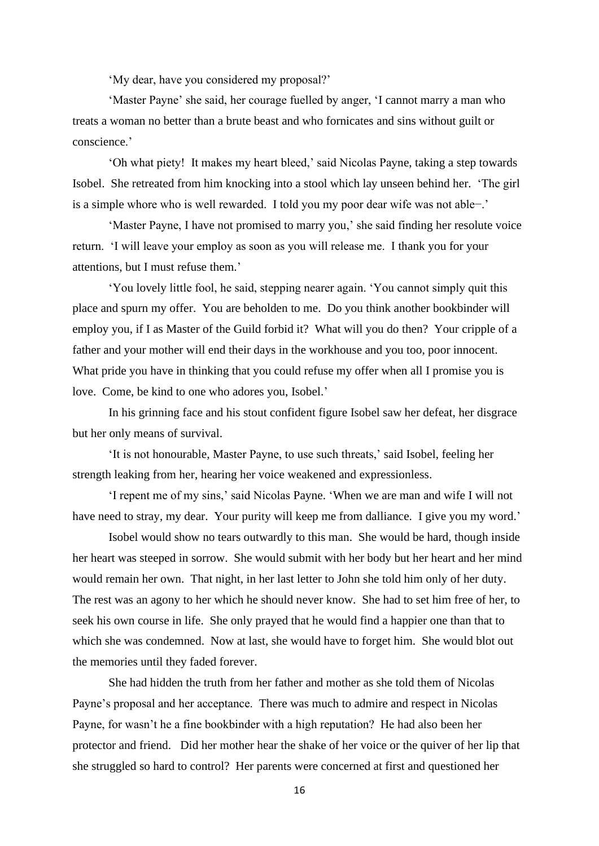'My dear, have you considered my proposal?'

'Master Payne' she said, her courage fuelled by anger, 'I cannot marry a man who treats a woman no better than a brute beast and who fornicates and sins without guilt or conscience.'

'Oh what piety! It makes my heart bleed,' said Nicolas Payne, taking a step towards Isobel. She retreated from him knocking into a stool which lay unseen behind her. 'The girl is a simple whore who is well rewarded. I told you my poor dear wife was not able−.'

'Master Payne, I have not promised to marry you,' she said finding her resolute voice return. 'I will leave your employ as soon as you will release me. I thank you for your attentions, but I must refuse them.'

'You lovely little fool, he said, stepping nearer again. 'You cannot simply quit this place and spurn my offer. You are beholden to me. Do you think another bookbinder will employ you, if I as Master of the Guild forbid it? What will you do then? Your cripple of a father and your mother will end their days in the workhouse and you too, poor innocent. What pride you have in thinking that you could refuse my offer when all I promise you is love. Come, be kind to one who adores you, Isobel.'

In his grinning face and his stout confident figure Isobel saw her defeat, her disgrace but her only means of survival.

'It is not honourable, Master Payne, to use such threats,' said Isobel, feeling her strength leaking from her, hearing her voice weakened and expressionless.

'I repent me of my sins,' said Nicolas Payne. 'When we are man and wife I will not have need to stray, my dear. Your purity will keep me from dalliance. I give you my word.'

Isobel would show no tears outwardly to this man. She would be hard, though inside her heart was steeped in sorrow. She would submit with her body but her heart and her mind would remain her own. That night, in her last letter to John she told him only of her duty. The rest was an agony to her which he should never know. She had to set him free of her, to seek his own course in life. She only prayed that he would find a happier one than that to which she was condemned. Now at last, she would have to forget him. She would blot out the memories until they faded forever.

She had hidden the truth from her father and mother as she told them of Nicolas Payne's proposal and her acceptance. There was much to admire and respect in Nicolas Payne, for wasn't he a fine bookbinder with a high reputation? He had also been her protector and friend. Did her mother hear the shake of her voice or the quiver of her lip that she struggled so hard to control? Her parents were concerned at first and questioned her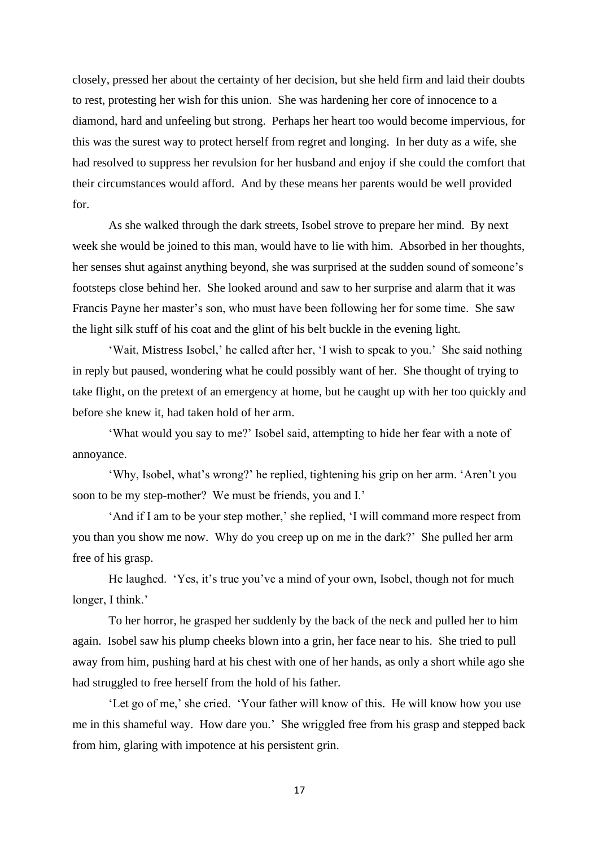closely, pressed her about the certainty of her decision, but she held firm and laid their doubts to rest, protesting her wish for this union. She was hardening her core of innocence to a diamond, hard and unfeeling but strong. Perhaps her heart too would become impervious, for this was the surest way to protect herself from regret and longing. In her duty as a wife, she had resolved to suppress her revulsion for her husband and enjoy if she could the comfort that their circumstances would afford. And by these means her parents would be well provided for.

As she walked through the dark streets, Isobel strove to prepare her mind. By next week she would be joined to this man, would have to lie with him. Absorbed in her thoughts, her senses shut against anything beyond, she was surprised at the sudden sound of someone's footsteps close behind her. She looked around and saw to her surprise and alarm that it was Francis Payne her master's son, who must have been following her for some time. She saw the light silk stuff of his coat and the glint of his belt buckle in the evening light.

'Wait, Mistress Isobel,' he called after her, 'I wish to speak to you.' She said nothing in reply but paused, wondering what he could possibly want of her. She thought of trying to take flight, on the pretext of an emergency at home, but he caught up with her too quickly and before she knew it, had taken hold of her arm.

'What would you say to me?' Isobel said, attempting to hide her fear with a note of annoyance.

'Why, Isobel, what's wrong?' he replied, tightening his grip on her arm. 'Aren't you soon to be my step-mother? We must be friends, you and I.'

'And if I am to be your step mother,' she replied, 'I will command more respect from you than you show me now. Why do you creep up on me in the dark?' She pulled her arm free of his grasp.

He laughed. 'Yes, it's true you've a mind of your own, Isobel, though not for much longer, I think.'

To her horror, he grasped her suddenly by the back of the neck and pulled her to him again. Isobel saw his plump cheeks blown into a grin, her face near to his. She tried to pull away from him, pushing hard at his chest with one of her hands, as only a short while ago she had struggled to free herself from the hold of his father.

'Let go of me,' she cried. 'Your father will know of this. He will know how you use me in this shameful way. How dare you.' She wriggled free from his grasp and stepped back from him, glaring with impotence at his persistent grin.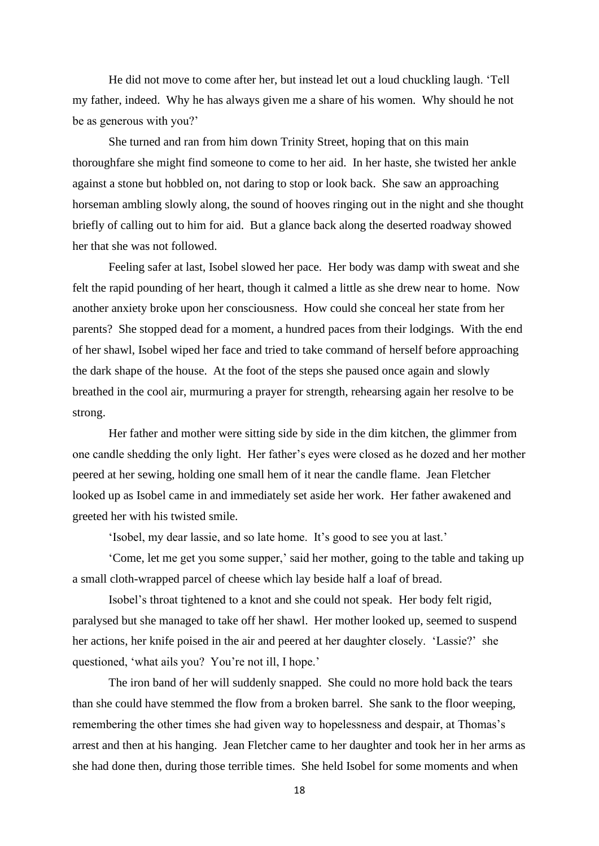He did not move to come after her, but instead let out a loud chuckling laugh. 'Tell my father, indeed. Why he has always given me a share of his women. Why should he not be as generous with you?'

She turned and ran from him down Trinity Street, hoping that on this main thoroughfare she might find someone to come to her aid. In her haste, she twisted her ankle against a stone but hobbled on, not daring to stop or look back. She saw an approaching horseman ambling slowly along, the sound of hooves ringing out in the night and she thought briefly of calling out to him for aid. But a glance back along the deserted roadway showed her that she was not followed.

Feeling safer at last, Isobel slowed her pace. Her body was damp with sweat and she felt the rapid pounding of her heart, though it calmed a little as she drew near to home. Now another anxiety broke upon her consciousness. How could she conceal her state from her parents? She stopped dead for a moment, a hundred paces from their lodgings. With the end of her shawl, Isobel wiped her face and tried to take command of herself before approaching the dark shape of the house. At the foot of the steps she paused once again and slowly breathed in the cool air, murmuring a prayer for strength, rehearsing again her resolve to be strong.

Her father and mother were sitting side by side in the dim kitchen, the glimmer from one candle shedding the only light. Her father's eyes were closed as he dozed and her mother peered at her sewing, holding one small hem of it near the candle flame. Jean Fletcher looked up as Isobel came in and immediately set aside her work. Her father awakened and greeted her with his twisted smile.

'Isobel, my dear lassie, and so late home. It's good to see you at last.'

'Come, let me get you some supper,' said her mother, going to the table and taking up a small cloth-wrapped parcel of cheese which lay beside half a loaf of bread.

Isobel's throat tightened to a knot and she could not speak. Her body felt rigid, paralysed but she managed to take off her shawl. Her mother looked up, seemed to suspend her actions, her knife poised in the air and peered at her daughter closely. 'Lassie?' she questioned, 'what ails you? You're not ill, I hope.'

The iron band of her will suddenly snapped. She could no more hold back the tears than she could have stemmed the flow from a broken barrel. She sank to the floor weeping, remembering the other times she had given way to hopelessness and despair, at Thomas's arrest and then at his hanging. Jean Fletcher came to her daughter and took her in her arms as she had done then, during those terrible times. She held Isobel for some moments and when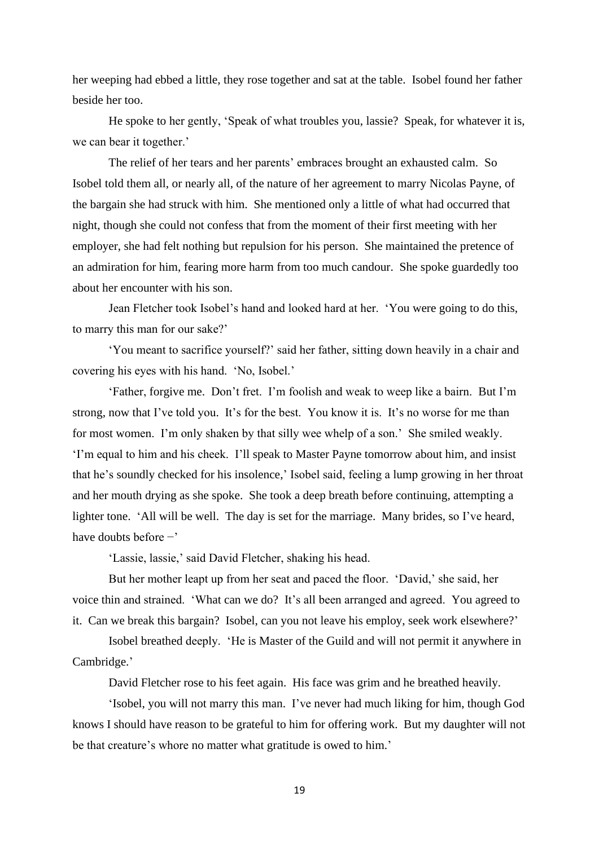her weeping had ebbed a little, they rose together and sat at the table. Isobel found her father beside her too.

He spoke to her gently, 'Speak of what troubles you, lassie? Speak, for whatever it is, we can bear it together.'

The relief of her tears and her parents' embraces brought an exhausted calm. So Isobel told them all, or nearly all, of the nature of her agreement to marry Nicolas Payne, of the bargain she had struck with him. She mentioned only a little of what had occurred that night, though she could not confess that from the moment of their first meeting with her employer, she had felt nothing but repulsion for his person. She maintained the pretence of an admiration for him, fearing more harm from too much candour. She spoke guardedly too about her encounter with his son.

Jean Fletcher took Isobel's hand and looked hard at her. 'You were going to do this, to marry this man for our sake?'

'You meant to sacrifice yourself?' said her father, sitting down heavily in a chair and covering his eyes with his hand. 'No, Isobel.'

'Father, forgive me. Don't fret. I'm foolish and weak to weep like a bairn. But I'm strong, now that I've told you. It's for the best. You know it is. It's no worse for me than for most women. I'm only shaken by that silly wee whelp of a son.' She smiled weakly. 'I'm equal to him and his cheek. I'll speak to Master Payne tomorrow about him, and insist that he's soundly checked for his insolence,' Isobel said, feeling a lump growing in her throat and her mouth drying as she spoke. She took a deep breath before continuing, attempting a lighter tone. 'All will be well. The day is set for the marriage. Many brides, so I've heard, have doubts before −'

'Lassie, lassie,' said David Fletcher, shaking his head.

But her mother leapt up from her seat and paced the floor. 'David,' she said, her voice thin and strained. 'What can we do? It's all been arranged and agreed. You agreed to it. Can we break this bargain? Isobel, can you not leave his employ, seek work elsewhere?'

Isobel breathed deeply. 'He is Master of the Guild and will not permit it anywhere in Cambridge.'

David Fletcher rose to his feet again. His face was grim and he breathed heavily.

'Isobel, you will not marry this man. I've never had much liking for him, though God knows I should have reason to be grateful to him for offering work. But my daughter will not be that creature's whore no matter what gratitude is owed to him.'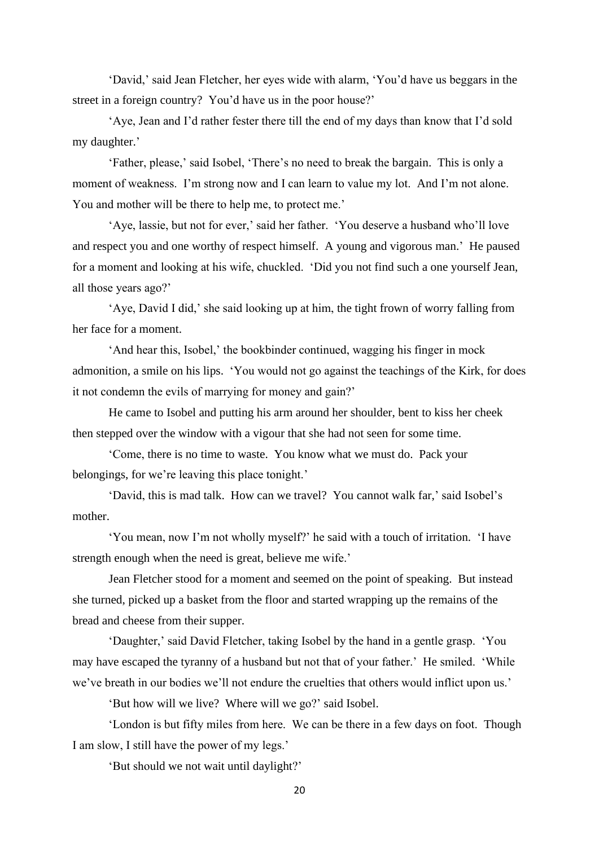'David,' said Jean Fletcher, her eyes wide with alarm, 'You'd have us beggars in the street in a foreign country? You'd have us in the poor house?'

'Aye, Jean and I'd rather fester there till the end of my days than know that I'd sold my daughter.'

'Father, please,' said Isobel, 'There's no need to break the bargain. This is only a moment of weakness. I'm strong now and I can learn to value my lot. And I'm not alone. You and mother will be there to help me, to protect me.'

'Aye, lassie, but not for ever,' said her father. 'You deserve a husband who'll love and respect you and one worthy of respect himself. A young and vigorous man.' He paused for a moment and looking at his wife, chuckled. 'Did you not find such a one yourself Jean, all those years ago?'

'Aye, David I did,' she said looking up at him, the tight frown of worry falling from her face for a moment.

'And hear this, Isobel,' the bookbinder continued, wagging his finger in mock admonition, a smile on his lips. 'You would not go against the teachings of the Kirk, for does it not condemn the evils of marrying for money and gain?'

He came to Isobel and putting his arm around her shoulder, bent to kiss her cheek then stepped over the window with a vigour that she had not seen for some time.

'Come, there is no time to waste. You know what we must do. Pack your belongings, for we're leaving this place tonight.'

'David, this is mad talk. How can we travel? You cannot walk far,' said Isobel's mother.

'You mean, now I'm not wholly myself?' he said with a touch of irritation. 'I have strength enough when the need is great, believe me wife.'

Jean Fletcher stood for a moment and seemed on the point of speaking. But instead she turned, picked up a basket from the floor and started wrapping up the remains of the bread and cheese from their supper.

'Daughter,' said David Fletcher, taking Isobel by the hand in a gentle grasp. 'You may have escaped the tyranny of a husband but not that of your father.' He smiled. 'While we've breath in our bodies we'll not endure the cruelties that others would inflict upon us.'

'But how will we live? Where will we go?' said Isobel.

'London is but fifty miles from here. We can be there in a few days on foot. Though I am slow, I still have the power of my legs.'

'But should we not wait until daylight?'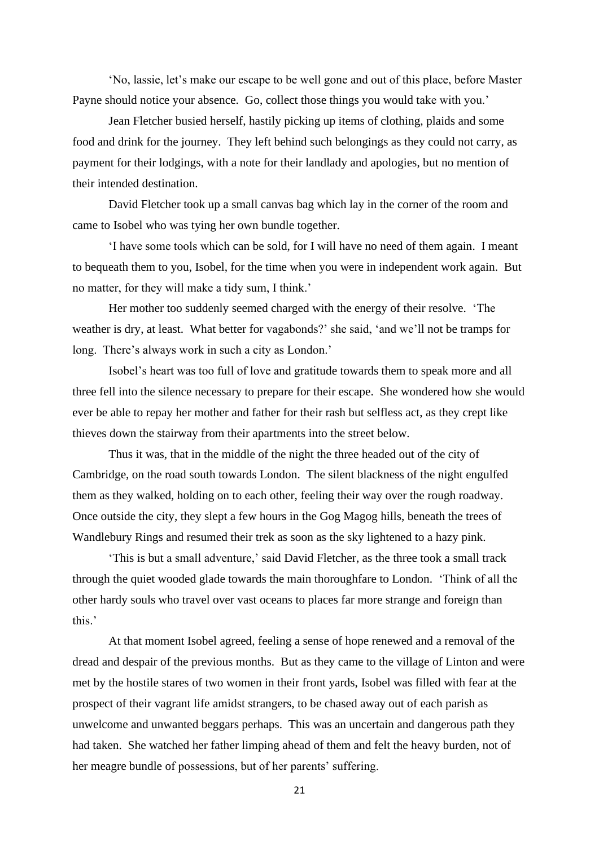'No, lassie, let's make our escape to be well gone and out of this place, before Master Payne should notice your absence. Go, collect those things you would take with you.'

Jean Fletcher busied herself, hastily picking up items of clothing, plaids and some food and drink for the journey. They left behind such belongings as they could not carry, as payment for their lodgings, with a note for their landlady and apologies, but no mention of their intended destination.

David Fletcher took up a small canvas bag which lay in the corner of the room and came to Isobel who was tying her own bundle together.

'I have some tools which can be sold, for I will have no need of them again. I meant to bequeath them to you, Isobel, for the time when you were in independent work again. But no matter, for they will make a tidy sum, I think.'

Her mother too suddenly seemed charged with the energy of their resolve. 'The weather is dry, at least. What better for vagabonds?' she said, 'and we'll not be tramps for long. There's always work in such a city as London.'

Isobel's heart was too full of love and gratitude towards them to speak more and all three fell into the silence necessary to prepare for their escape. She wondered how she would ever be able to repay her mother and father for their rash but selfless act, as they crept like thieves down the stairway from their apartments into the street below.

Thus it was, that in the middle of the night the three headed out of the city of Cambridge, on the road south towards London. The silent blackness of the night engulfed them as they walked, holding on to each other, feeling their way over the rough roadway. Once outside the city, they slept a few hours in the Gog Magog hills, beneath the trees of Wandlebury Rings and resumed their trek as soon as the sky lightened to a hazy pink.

'This is but a small adventure,' said David Fletcher, as the three took a small track through the quiet wooded glade towards the main thoroughfare to London. 'Think of all the other hardy souls who travel over vast oceans to places far more strange and foreign than this.'

At that moment Isobel agreed, feeling a sense of hope renewed and a removal of the dread and despair of the previous months. But as they came to the village of Linton and were met by the hostile stares of two women in their front yards, Isobel was filled with fear at the prospect of their vagrant life amidst strangers, to be chased away out of each parish as unwelcome and unwanted beggars perhaps. This was an uncertain and dangerous path they had taken. She watched her father limping ahead of them and felt the heavy burden, not of her meagre bundle of possessions, but of her parents' suffering.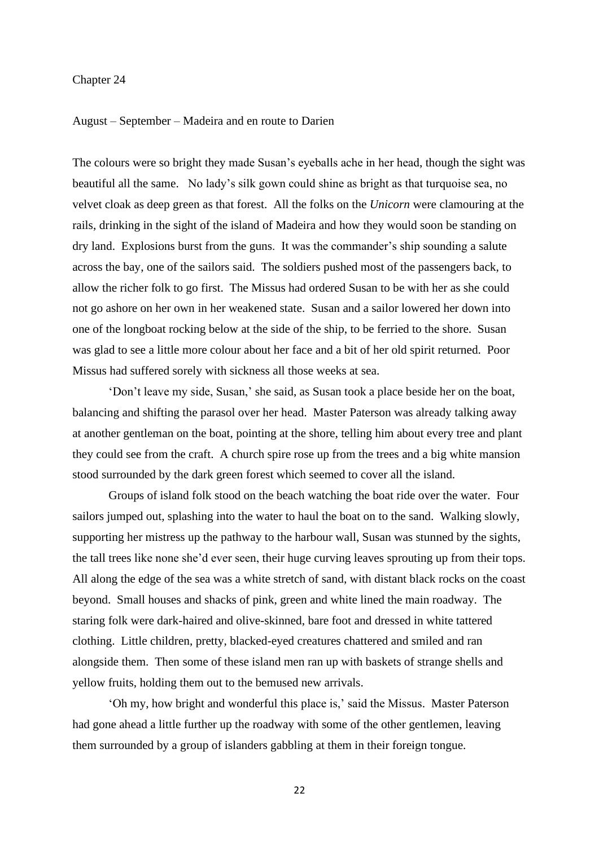## Chapter 24

## August – September – Madeira and en route to Darien

The colours were so bright they made Susan's eyeballs ache in her head, though the sight was beautiful all the same. No lady's silk gown could shine as bright as that turquoise sea, no velvet cloak as deep green as that forest. All the folks on the *Unicorn* were clamouring at the rails, drinking in the sight of the island of Madeira and how they would soon be standing on dry land. Explosions burst from the guns. It was the commander's ship sounding a salute across the bay, one of the sailors said. The soldiers pushed most of the passengers back, to allow the richer folk to go first. The Missus had ordered Susan to be with her as she could not go ashore on her own in her weakened state. Susan and a sailor lowered her down into one of the longboat rocking below at the side of the ship, to be ferried to the shore. Susan was glad to see a little more colour about her face and a bit of her old spirit returned. Poor Missus had suffered sorely with sickness all those weeks at sea.

'Don't leave my side, Susan,' she said, as Susan took a place beside her on the boat, balancing and shifting the parasol over her head. Master Paterson was already talking away at another gentleman on the boat, pointing at the shore, telling him about every tree and plant they could see from the craft. A church spire rose up from the trees and a big white mansion stood surrounded by the dark green forest which seemed to cover all the island.

Groups of island folk stood on the beach watching the boat ride over the water. Four sailors jumped out, splashing into the water to haul the boat on to the sand. Walking slowly, supporting her mistress up the pathway to the harbour wall, Susan was stunned by the sights, the tall trees like none she'd ever seen, their huge curving leaves sprouting up from their tops. All along the edge of the sea was a white stretch of sand, with distant black rocks on the coast beyond. Small houses and shacks of pink, green and white lined the main roadway. The staring folk were dark-haired and olive-skinned, bare foot and dressed in white tattered clothing. Little children, pretty, blacked-eyed creatures chattered and smiled and ran alongside them. Then some of these island men ran up with baskets of strange shells and yellow fruits, holding them out to the bemused new arrivals.

'Oh my, how bright and wonderful this place is,' said the Missus. Master Paterson had gone ahead a little further up the roadway with some of the other gentlemen, leaving them surrounded by a group of islanders gabbling at them in their foreign tongue.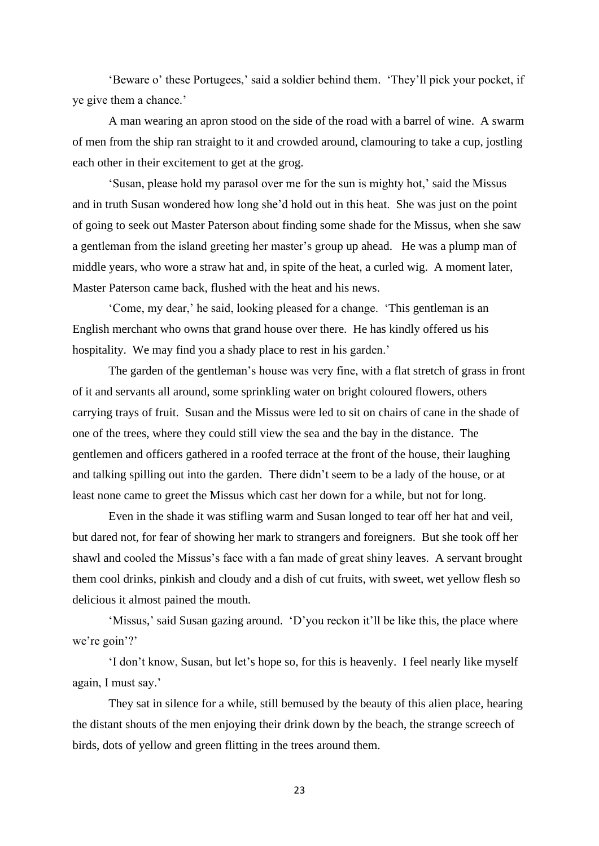'Beware o' these Portugees,' said a soldier behind them. 'They'll pick your pocket, if ye give them a chance.'

A man wearing an apron stood on the side of the road with a barrel of wine. A swarm of men from the ship ran straight to it and crowded around, clamouring to take a cup, jostling each other in their excitement to get at the grog.

'Susan, please hold my parasol over me for the sun is mighty hot,' said the Missus and in truth Susan wondered how long she'd hold out in this heat. She was just on the point of going to seek out Master Paterson about finding some shade for the Missus, when she saw a gentleman from the island greeting her master's group up ahead. He was a plump man of middle years, who wore a straw hat and, in spite of the heat, a curled wig. A moment later, Master Paterson came back, flushed with the heat and his news.

'Come, my dear,' he said, looking pleased for a change. 'This gentleman is an English merchant who owns that grand house over there. He has kindly offered us his hospitality. We may find you a shady place to rest in his garden.'

The garden of the gentleman's house was very fine, with a flat stretch of grass in front of it and servants all around, some sprinkling water on bright coloured flowers, others carrying trays of fruit. Susan and the Missus were led to sit on chairs of cane in the shade of one of the trees, where they could still view the sea and the bay in the distance. The gentlemen and officers gathered in a roofed terrace at the front of the house, their laughing and talking spilling out into the garden. There didn't seem to be a lady of the house, or at least none came to greet the Missus which cast her down for a while, but not for long.

Even in the shade it was stifling warm and Susan longed to tear off her hat and veil, but dared not, for fear of showing her mark to strangers and foreigners. But she took off her shawl and cooled the Missus's face with a fan made of great shiny leaves. A servant brought them cool drinks, pinkish and cloudy and a dish of cut fruits, with sweet, wet yellow flesh so delicious it almost pained the mouth.

'Missus,' said Susan gazing around. 'D'you reckon it'll be like this, the place where we're goin'?'

'I don't know, Susan, but let's hope so, for this is heavenly. I feel nearly like myself again, I must say.'

They sat in silence for a while, still bemused by the beauty of this alien place, hearing the distant shouts of the men enjoying their drink down by the beach, the strange screech of birds, dots of yellow and green flitting in the trees around them.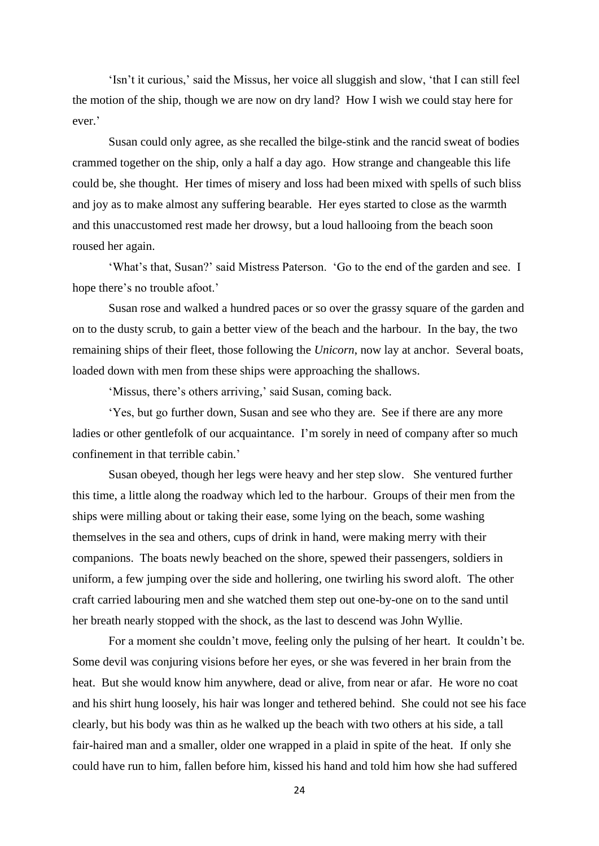'Isn't it curious,' said the Missus, her voice all sluggish and slow, 'that I can still feel the motion of the ship, though we are now on dry land? How I wish we could stay here for ever.'

Susan could only agree, as she recalled the bilge-stink and the rancid sweat of bodies crammed together on the ship, only a half a day ago. How strange and changeable this life could be, she thought. Her times of misery and loss had been mixed with spells of such bliss and joy as to make almost any suffering bearable. Her eyes started to close as the warmth and this unaccustomed rest made her drowsy, but a loud hallooing from the beach soon roused her again.

'What's that, Susan?' said Mistress Paterson. 'Go to the end of the garden and see. I hope there's no trouble afoot.'

Susan rose and walked a hundred paces or so over the grassy square of the garden and on to the dusty scrub, to gain a better view of the beach and the harbour. In the bay, the two remaining ships of their fleet, those following the *Unicorn*, now lay at anchor. Several boats, loaded down with men from these ships were approaching the shallows.

'Missus, there's others arriving,' said Susan, coming back.

'Yes, but go further down, Susan and see who they are. See if there are any more ladies or other gentlefolk of our acquaintance. I'm sorely in need of company after so much confinement in that terrible cabin.'

Susan obeyed, though her legs were heavy and her step slow. She ventured further this time, a little along the roadway which led to the harbour. Groups of their men from the ships were milling about or taking their ease, some lying on the beach, some washing themselves in the sea and others, cups of drink in hand, were making merry with their companions. The boats newly beached on the shore, spewed their passengers, soldiers in uniform, a few jumping over the side and hollering, one twirling his sword aloft. The other craft carried labouring men and she watched them step out one-by-one on to the sand until her breath nearly stopped with the shock, as the last to descend was John Wyllie.

For a moment she couldn't move, feeling only the pulsing of her heart. It couldn't be. Some devil was conjuring visions before her eyes, or she was fevered in her brain from the heat. But she would know him anywhere, dead or alive, from near or afar. He wore no coat and his shirt hung loosely, his hair was longer and tethered behind. She could not see his face clearly, but his body was thin as he walked up the beach with two others at his side, a tall fair-haired man and a smaller, older one wrapped in a plaid in spite of the heat. If only she could have run to him, fallen before him, kissed his hand and told him how she had suffered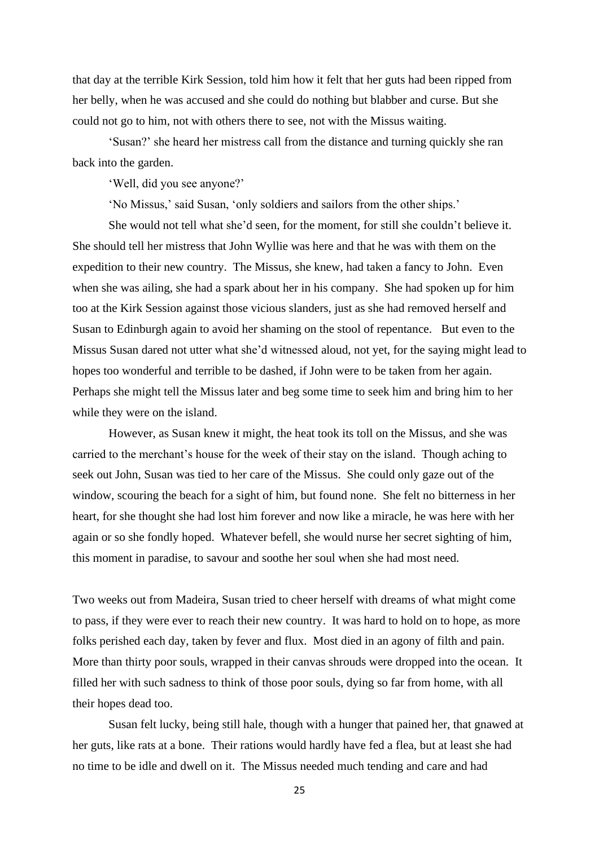that day at the terrible Kirk Session, told him how it felt that her guts had been ripped from her belly, when he was accused and she could do nothing but blabber and curse. But she could not go to him, not with others there to see, not with the Missus waiting.

'Susan?' she heard her mistress call from the distance and turning quickly she ran back into the garden.

'Well, did you see anyone?'

'No Missus,' said Susan, 'only soldiers and sailors from the other ships.'

She would not tell what she'd seen, for the moment, for still she couldn't believe it. She should tell her mistress that John Wyllie was here and that he was with them on the expedition to their new country. The Missus, she knew, had taken a fancy to John. Even when she was ailing, she had a spark about her in his company. She had spoken up for him too at the Kirk Session against those vicious slanders, just as she had removed herself and Susan to Edinburgh again to avoid her shaming on the stool of repentance. But even to the Missus Susan dared not utter what she'd witnessed aloud, not yet, for the saying might lead to hopes too wonderful and terrible to be dashed, if John were to be taken from her again. Perhaps she might tell the Missus later and beg some time to seek him and bring him to her while they were on the island.

However, as Susan knew it might, the heat took its toll on the Missus, and she was carried to the merchant's house for the week of their stay on the island. Though aching to seek out John, Susan was tied to her care of the Missus. She could only gaze out of the window, scouring the beach for a sight of him, but found none. She felt no bitterness in her heart, for she thought she had lost him forever and now like a miracle, he was here with her again or so she fondly hoped. Whatever befell, she would nurse her secret sighting of him, this moment in paradise, to savour and soothe her soul when she had most need.

Two weeks out from Madeira, Susan tried to cheer herself with dreams of what might come to pass, if they were ever to reach their new country. It was hard to hold on to hope, as more folks perished each day, taken by fever and flux. Most died in an agony of filth and pain. More than thirty poor souls, wrapped in their canvas shrouds were dropped into the ocean. It filled her with such sadness to think of those poor souls, dying so far from home, with all their hopes dead too.

Susan felt lucky, being still hale, though with a hunger that pained her, that gnawed at her guts, like rats at a bone. Their rations would hardly have fed a flea, but at least she had no time to be idle and dwell on it. The Missus needed much tending and care and had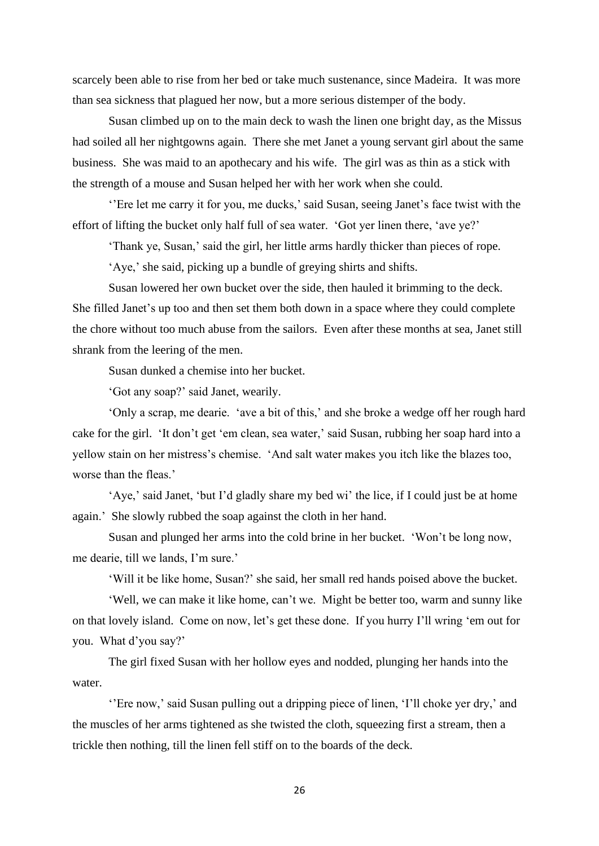scarcely been able to rise from her bed or take much sustenance, since Madeira. It was more than sea sickness that plagued her now, but a more serious distemper of the body.

Susan climbed up on to the main deck to wash the linen one bright day, as the Missus had soiled all her nightgowns again. There she met Janet a young servant girl about the same business. She was maid to an apothecary and his wife. The girl was as thin as a stick with the strength of a mouse and Susan helped her with her work when she could.

''Ere let me carry it for you, me ducks,' said Susan, seeing Janet's face twist with the effort of lifting the bucket only half full of sea water. 'Got yer linen there, 'ave ye?'

'Thank ye, Susan,' said the girl, her little arms hardly thicker than pieces of rope.

'Aye,' she said, picking up a bundle of greying shirts and shifts.

Susan lowered her own bucket over the side, then hauled it brimming to the deck. She filled Janet's up too and then set them both down in a space where they could complete the chore without too much abuse from the sailors. Even after these months at sea, Janet still shrank from the leering of the men.

Susan dunked a chemise into her bucket.

'Got any soap?' said Janet, wearily.

'Only a scrap, me dearie. 'ave a bit of this,' and she broke a wedge off her rough hard cake for the girl. 'It don't get 'em clean, sea water,' said Susan, rubbing her soap hard into a yellow stain on her mistress's chemise. 'And salt water makes you itch like the blazes too, worse than the fleas.'

'Aye,' said Janet, 'but I'd gladly share my bed wi' the lice, if I could just be at home again.' She slowly rubbed the soap against the cloth in her hand.

Susan and plunged her arms into the cold brine in her bucket. 'Won't be long now, me dearie, till we lands, I'm sure.'

'Will it be like home, Susan?' she said, her small red hands poised above the bucket.

'Well, we can make it like home, can't we. Might be better too, warm and sunny like on that lovely island. Come on now, let's get these done. If you hurry I'll wring 'em out for you. What d'you say?'

The girl fixed Susan with her hollow eyes and nodded, plunging her hands into the water.

''Ere now,' said Susan pulling out a dripping piece of linen, 'I'll choke yer dry,' and the muscles of her arms tightened as she twisted the cloth, squeezing first a stream, then a trickle then nothing, till the linen fell stiff on to the boards of the deck.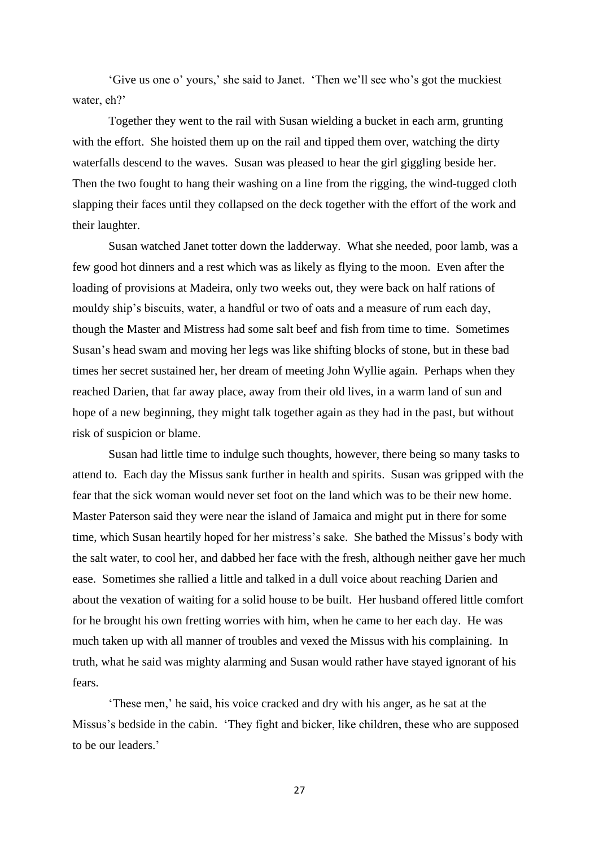'Give us one o' yours,' she said to Janet. 'Then we'll see who's got the muckiest water, eh?'

Together they went to the rail with Susan wielding a bucket in each arm, grunting with the effort. She hoisted them up on the rail and tipped them over, watching the dirty waterfalls descend to the waves. Susan was pleased to hear the girl giggling beside her. Then the two fought to hang their washing on a line from the rigging, the wind-tugged cloth slapping their faces until they collapsed on the deck together with the effort of the work and their laughter.

Susan watched Janet totter down the ladderway. What she needed, poor lamb, was a few good hot dinners and a rest which was as likely as flying to the moon. Even after the loading of provisions at Madeira, only two weeks out, they were back on half rations of mouldy ship's biscuits, water, a handful or two of oats and a measure of rum each day, though the Master and Mistress had some salt beef and fish from time to time. Sometimes Susan's head swam and moving her legs was like shifting blocks of stone, but in these bad times her secret sustained her, her dream of meeting John Wyllie again. Perhaps when they reached Darien, that far away place, away from their old lives, in a warm land of sun and hope of a new beginning, they might talk together again as they had in the past, but without risk of suspicion or blame.

Susan had little time to indulge such thoughts, however, there being so many tasks to attend to. Each day the Missus sank further in health and spirits. Susan was gripped with the fear that the sick woman would never set foot on the land which was to be their new home. Master Paterson said they were near the island of Jamaica and might put in there for some time, which Susan heartily hoped for her mistress's sake. She bathed the Missus's body with the salt water, to cool her, and dabbed her face with the fresh, although neither gave her much ease. Sometimes she rallied a little and talked in a dull voice about reaching Darien and about the vexation of waiting for a solid house to be built. Her husband offered little comfort for he brought his own fretting worries with him, when he came to her each day. He was much taken up with all manner of troubles and vexed the Missus with his complaining. In truth, what he said was mighty alarming and Susan would rather have stayed ignorant of his fears.

'These men,' he said, his voice cracked and dry with his anger, as he sat at the Missus's bedside in the cabin. 'They fight and bicker, like children, these who are supposed to be our leaders.'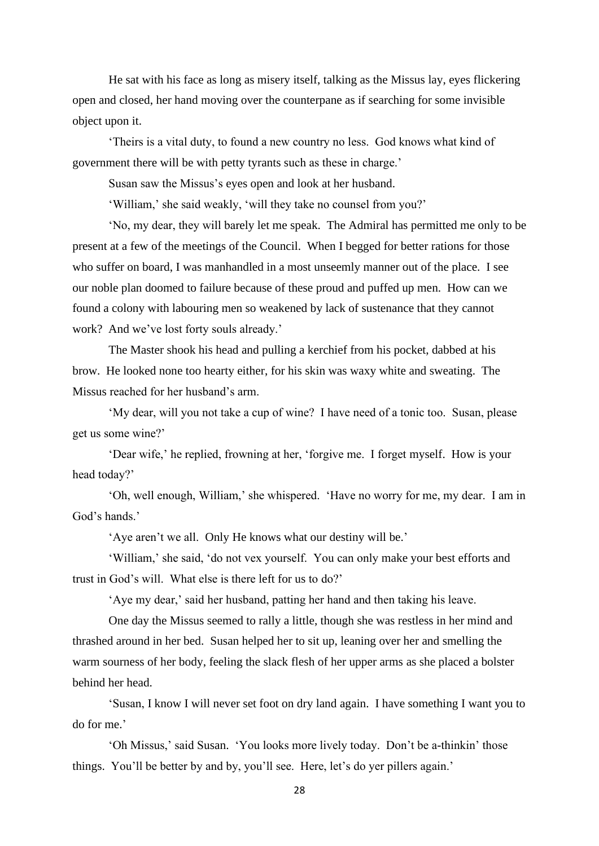He sat with his face as long as misery itself, talking as the Missus lay, eyes flickering open and closed, her hand moving over the counterpane as if searching for some invisible object upon it.

'Theirs is a vital duty, to found a new country no less. God knows what kind of government there will be with petty tyrants such as these in charge.'

Susan saw the Missus's eyes open and look at her husband.

'William,' she said weakly, 'will they take no counsel from you?'

'No, my dear, they will barely let me speak. The Admiral has permitted me only to be present at a few of the meetings of the Council. When I begged for better rations for those who suffer on board, I was manhandled in a most unseemly manner out of the place. I see our noble plan doomed to failure because of these proud and puffed up men. How can we found a colony with labouring men so weakened by lack of sustenance that they cannot work? And we've lost forty souls already.'

The Master shook his head and pulling a kerchief from his pocket, dabbed at his brow. He looked none too hearty either, for his skin was waxy white and sweating. The Missus reached for her husband's arm.

'My dear, will you not take a cup of wine? I have need of a tonic too. Susan, please get us some wine?'

'Dear wife,' he replied, frowning at her, 'forgive me. I forget myself. How is your head today?'

'Oh, well enough, William,' she whispered. 'Have no worry for me, my dear. I am in God's hands.'

'Aye aren't we all. Only He knows what our destiny will be.'

'William,' she said, 'do not vex yourself. You can only make your best efforts and trust in God's will. What else is there left for us to do?'

'Aye my dear,' said her husband, patting her hand and then taking his leave.

One day the Missus seemed to rally a little, though she was restless in her mind and thrashed around in her bed. Susan helped her to sit up, leaning over her and smelling the warm sourness of her body, feeling the slack flesh of her upper arms as she placed a bolster behind her head.

'Susan, I know I will never set foot on dry land again. I have something I want you to do for me.'

'Oh Missus,' said Susan. 'You looks more lively today. Don't be a-thinkin' those things. You'll be better by and by, you'll see. Here, let's do yer pillers again.'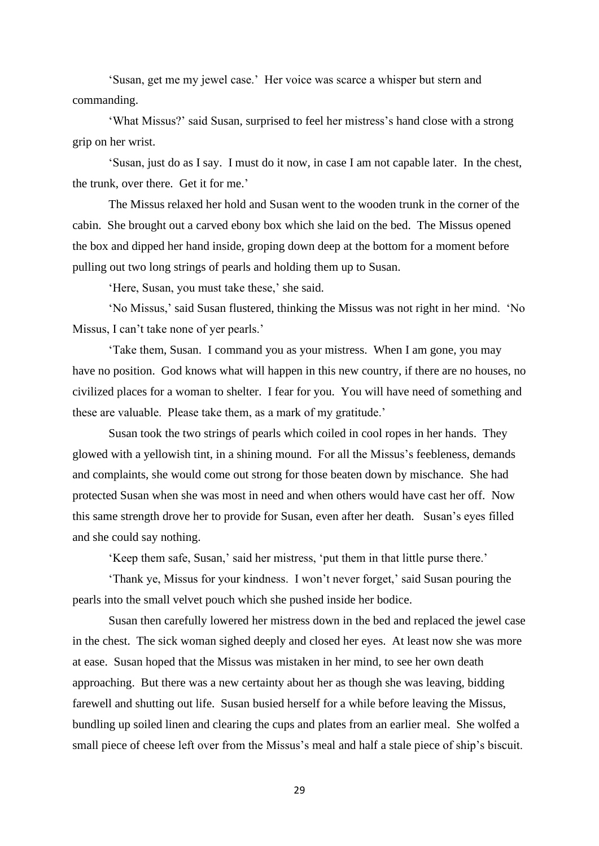'Susan, get me my jewel case.' Her voice was scarce a whisper but stern and commanding.

'What Missus?' said Susan, surprised to feel her mistress's hand close with a strong grip on her wrist.

'Susan, just do as I say. I must do it now, in case I am not capable later. In the chest, the trunk, over there. Get it for me.'

The Missus relaxed her hold and Susan went to the wooden trunk in the corner of the cabin. She brought out a carved ebony box which she laid on the bed. The Missus opened the box and dipped her hand inside, groping down deep at the bottom for a moment before pulling out two long strings of pearls and holding them up to Susan.

'Here, Susan, you must take these,' she said.

'No Missus,' said Susan flustered, thinking the Missus was not right in her mind. 'No Missus, I can't take none of yer pearls.'

'Take them, Susan. I command you as your mistress. When I am gone, you may have no position. God knows what will happen in this new country, if there are no houses, no civilized places for a woman to shelter. I fear for you. You will have need of something and these are valuable. Please take them, as a mark of my gratitude.'

Susan took the two strings of pearls which coiled in cool ropes in her hands. They glowed with a yellowish tint, in a shining mound. For all the Missus's feebleness, demands and complaints, she would come out strong for those beaten down by mischance. She had protected Susan when she was most in need and when others would have cast her off. Now this same strength drove her to provide for Susan, even after her death. Susan's eyes filled and she could say nothing.

'Keep them safe, Susan,' said her mistress, 'put them in that little purse there.'

'Thank ye, Missus for your kindness. I won't never forget,' said Susan pouring the pearls into the small velvet pouch which she pushed inside her bodice.

Susan then carefully lowered her mistress down in the bed and replaced the jewel case in the chest. The sick woman sighed deeply and closed her eyes. At least now she was more at ease. Susan hoped that the Missus was mistaken in her mind, to see her own death approaching. But there was a new certainty about her as though she was leaving, bidding farewell and shutting out life. Susan busied herself for a while before leaving the Missus, bundling up soiled linen and clearing the cups and plates from an earlier meal. She wolfed a small piece of cheese left over from the Missus's meal and half a stale piece of ship's biscuit.